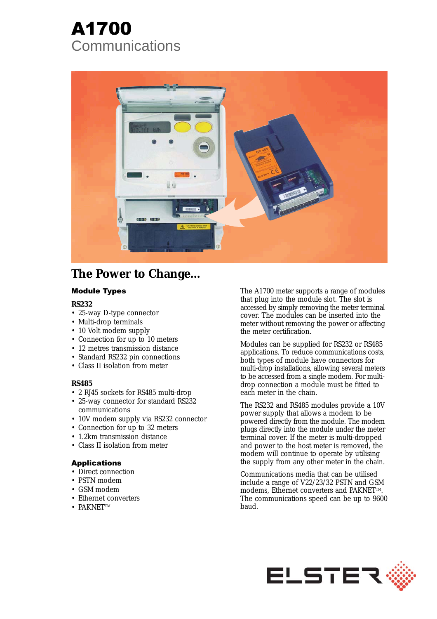# A1700 **Communications**



# **The Power to Change...**

# Module Types

# **RS232**

- 25-way D-type connector
- Multi-drop terminals
- 10 Volt modem supply
- Connection for up to 10 meters
- 12 metres transmission distance
- Standard RS232 pin connections
- Class II isolation from meter

# **RS485**

- 2 RJ45 sockets for RS485 multi-drop
- 25-way connector for standard RS232 communications
- 10V modem supply via RS232 connector
- Connection for up to 32 meters
- 1.2km transmission distance
- Class II isolation from meter

# Applications

- Direct connection
- PSTN modem
- GSM modem
- Ethernet converters
- $\bullet$  PAKNETTM

The A1700 meter supports a range of modules that plug into the module slot. The slot is accessed by simply removing the meter terminal cover. The modules can be inserted into the meter without removing the power or affecting the meter certification.

Modules can be supplied for RS232 or RS485 applications. To reduce communications costs, both types of module have connectors for multi-drop installations, allowing several meters to be accessed from a single modem. For multidrop connection a module must be fitted to each meter in the chain.

The RS232 and RS485 modules provide a 10V power supply that allows a modem to be powered directly from the module. The modem plugs directly into the module under the meter terminal cover. If the meter is multi-dropped and power to the host meter is removed, the modem will continue to operate by utilising the supply from any other meter in the chain.

Communications media that can be utilised include a range of V22/23/32 PSTN and GSM modems, Ethernet converters and PAKNET™. The communications speed can be up to 9600 baud.